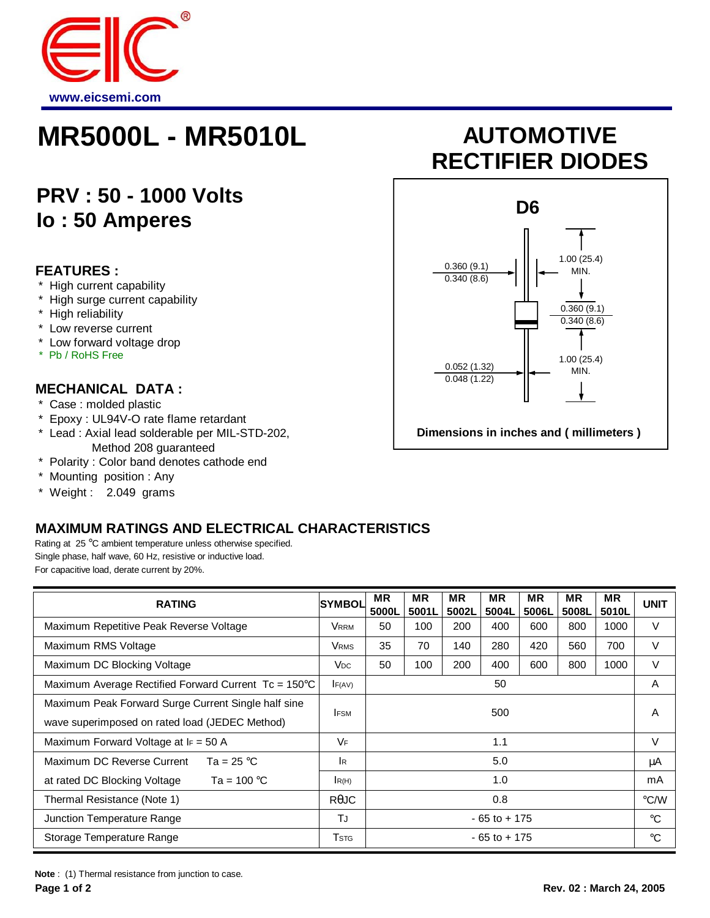

## **MR5000L - MR5010L AUTOMOTIVE**

### **PRV : 50 - 1000 Volts Io : 50 Amperes**

#### **FEATURES :**

- \* High current capability
- \* High surge current capability
- \* High reliability
- \* Low reverse current
- \* Low forward voltage drop
- \* Pb / RoHS Free

#### **MECHANICAL DATA :**

- \* Case : molded plastic
- \* Epoxy : UL94V-O rate flame retardant
- \* Lead : Axial lead solderable per MIL-STD-202, Method 208 guaranteed
- \* Polarity : Color band denotes cathode end
- \* Mounting position : Any
- \* Weight : 2.049 grams

#### **MAXIMUM RATINGS AND ELECTRICAL CHARACTERISTICS**

Rating at 25 °C ambient temperature unless otherwise specified. Single phase, half wave, 60 Hz, resistive or inductive load. For capacitive load, derate current by 20%.

| <b>RATING</b>                                        | <b>SYMBOL</b>           | <b>MR</b><br>5000L | <b>MR</b><br>5001L | <b>MR</b><br>5002L | <b>MR</b><br>5004L | <b>MR</b><br>5006L | <b>MR</b><br>5008L | <b>MR</b><br>5010L | <b>UNIT</b> |
|------------------------------------------------------|-------------------------|--------------------|--------------------|--------------------|--------------------|--------------------|--------------------|--------------------|-------------|
| Maximum Repetitive Peak Reverse Voltage              | Vrrm                    | 50                 | 100                | 200                | 400                | 600                | 800                | 1000               | $\vee$      |
| Maximum RMS Voltage                                  | <b>V</b> <sub>RMS</sub> | 35                 | 70                 | 140                | 280                | 420                | 560                | 700                | $\vee$      |
| Maximum DC Blocking Voltage                          | <b>V</b> <sub>DC</sub>  | 50                 | 100                | 200                | 400                | 600                | 800                | 1000               | V           |
| Maximum Average Rectified Forward Current Tc = 150°C | F(AV)                   | 50                 |                    |                    |                    |                    |                    |                    | A           |
| Maximum Peak Forward Surge Current Single half sine  | 500<br><b>IFSM</b>      |                    |                    |                    |                    |                    | A                  |                    |             |
| wave superimposed on rated load (JEDEC Method)       |                         |                    |                    |                    |                    |                    |                    |                    |             |
| Maximum Forward Voltage at $I_F = 50$ A              | VF                      | 1.1                |                    |                    |                    |                    |                    | V                  |             |
| Maximum DC Reverse Current<br>Ta = 25 $^{\circ}$ C   | IR.                     | 5.0                |                    |                    |                    |                    |                    | μA                 |             |
| Ta = $100^{\circ}$ C<br>at rated DC Blocking Voltage | R(H)                    | 1.0                |                    |                    |                    |                    |                    | mA                 |             |
| Thermal Resistance (Note 1)                          | $R\theta$ JC            | 0.8                |                    |                    |                    |                    |                    | $\degree$ C/W      |             |
| Junction Temperature Range                           | TJ                      | $-65$ to $+175$    |                    |                    |                    |                    |                    | $^{\circ}C$        |             |
| Storage Temperature Range                            | Tstg                    | $-65$ to $+175$    |                    |                    |                    |                    |                    | $^{\circ}C$        |             |

**Note** : (1) Thermal resistance from junction to case.

# **RECTIFIER DIODES**